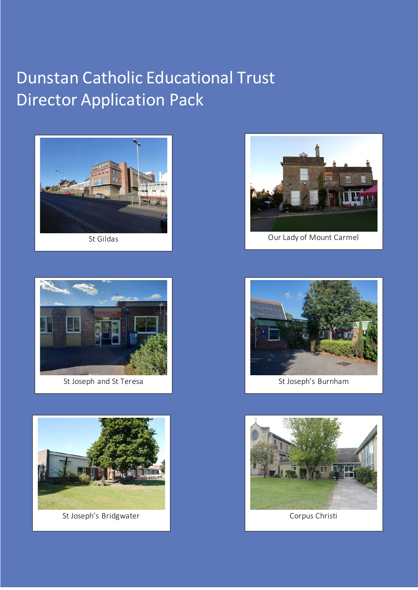# Dunstan Catholic Educational Trust Director Application Pack







St Joseph's Bridgwater **Corpus Christi** Corpus Christi



St Gildas Communication Carmel Carmel Carmel Carmel Carmel Carmel Carmel Carmel Carmel Carmel Carmel Carmel Carmel Carmel Carmel Carmel Carmel Carmel Carmel Carmel Carmel Carmel Carmel Carmel Carmel Carmel Carmel Carmel Ca



St Joseph's Burnham

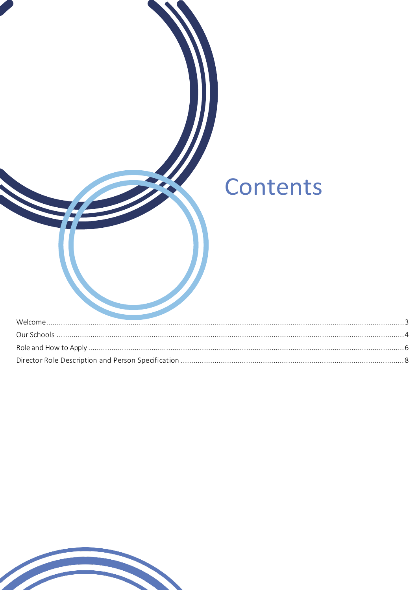| Contents |  |
|----------|--|
|          |  |
|          |  |
|          |  |

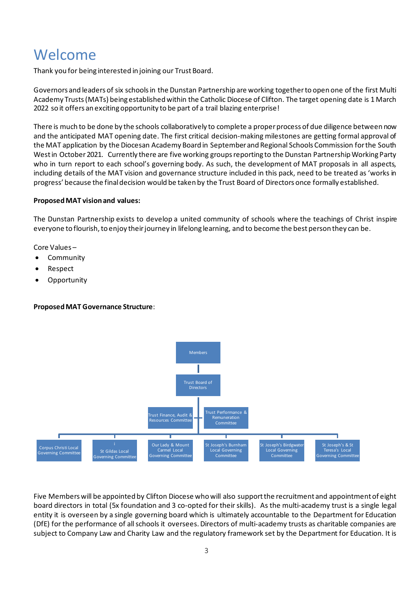# <span id="page-2-0"></span>Welcome

Thank you for being interested in joining our Trust Board.

Governors and leaders of six schools in the Dunstan Partnership are working together to open one of the first Multi Academy Trusts(MATs) being established within the Catholic Diocese of Clifton. The target opening date is 1 March 2022 so it offers an excitingopportunity to be part of a trail blazing enterprise!

There is much to be done by the schools collaboratively to complete a proper process of due diligence between now and the anticipated MAT opening date. The first critical decision-making milestones are getting formal approval of the MAT application by the Diocesan Academy Board in September and Regional Schools Commission for the South West in October 2021. Currently there are five working groups reporting to the Dunstan Partnership Working Party who in turn report to each school's governing body. As such, the development of MAT proposals in all aspects, including details of the MAT vision and governance structure included in this pack, need to be treated as 'works in progress' because the final decision would be taken by the Trust Board of Directors once formally established.

### **ProposedMAT vision and values:**

The Dunstan Partnership exists to develop a united community of schools where the teachings of Christ inspire everyone to flourish, to enjoy their journey in lifelong learning, and to become the best person they can be.

Core Values –

- **Community**
- Respect
- Opportunity

# **Proposed MAT Governance Structure**:



Five Members will be appointed by Clifton Diocese who will also support the recruitment and appointment of eight board directors in total (5x foundation and 3 co-opted for their skills). As the multi-academy trust is a single legal entity it is overseen by a single governing board which is ultimately accountable to the Department for Education (DfE) for the performance of all schools it oversees. Directors of multi-academy trusts as charitable companies are subject to Company Law and Charity Law and the regulatory framework set by the Department for Education. It is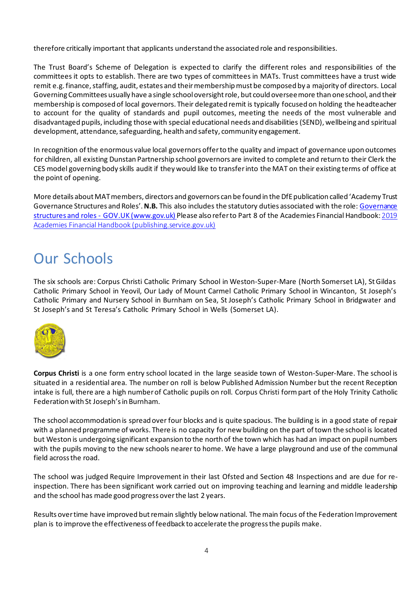therefore critically important that applicants understand the associated role and responsibilities.

The Trust Board's Scheme of Delegation is expected to clarify the different roles and responsibilities of the committees it opts to establish. There are two types of committees in MATs. Trust committees have a trust wide remit e.g. finance, staffing, audit, estates and their membership must be composed by a majority of directors. Local Governing Committees usually have a single school oversight role, but could oversee more than one school, and their membership is composed of local governors. Their delegated remit is typically focused on holding the headteacher to account for the quality of standards and pupil outcomes, meeting the needs of the most vulnerable and disadvantaged pupils, including those with special educational needs and disabilities (SEND), wellbeing and spiritual development, attendance, safeguarding, health and safety, community engagement.

In recognition ofthe enormous value local governors offer to the quality and impact of governance upon outcomes for children, all existing Dunstan Partnership school governors are invited to complete and return to their Clerk the CES model governing body skills audit if they would like to transfer into the MAT on their existing terms of office at the point of opening.

More details about MAT members, directors and governors can be found in the DfE publication called 'Academy Trust Governance Structures and Roles'. **N.B.** This also includes the statutory duties associated with the role: [Governance](https://www.gov.uk/government/publications/governance-structures-and-roles)  structures and roles - [GOV.UK \(www.gov.uk\)](https://www.gov.uk/government/publications/governance-structures-and-roles) Please also refer to Part 8 of the Academies Financial Handbook: [2019](https://assets.publishing.service.gov.uk/media/5f4754ac8fa8f5362e74ba76/Academies_Financial_Handbook_2020.pdf)  [Academies Financial Handbook \(publishing.service.gov.uk\)](https://assets.publishing.service.gov.uk/media/5f4754ac8fa8f5362e74ba76/Academies_Financial_Handbook_2020.pdf)

# <span id="page-3-0"></span>Our Schools

The six schools are: Corpus Christi Catholic Primary School in Weston-Super-Mare (North Somerset LA), St Gildas Catholic Primary School in Yeovil, Our Lady of Mount Carmel Catholic Primary School in Wincanton, St Joseph's Catholic Primary and Nursery School in Burnham on Sea, St Joseph's Catholic Primary School in Bridgwater and St Joseph's and St Teresa's Catholic Primary School in Wells (Somerset LA).



**Corpus Christi** is a one form entry school located in the large seaside town of Weston-Super-Mare. The school is situated in a residential area. The number on roll is below Published Admission Number but the recent Reception intake is full, there are a high number of Catholic pupils on roll. Corpus Christi form part of the Holy Trinity Catholic Federation with St Joseph's in Burnham.

The school accommodation is spread over four blocks and is quite spacious. The building is in a good state of repair with a planned programme of works. There is no capacity for new building on the part of town the school is located but Weston is undergoing significant expansion to the north of the town which has had an impact on pupil numbers with the pupils moving to the new schools nearer to home. We have a large playground and use of the communal field across the road.

The school was judged Require Improvement in their last Ofsted and Section 48 Inspections and are due for reinspection. There has been significant work carried out on improving teaching and learning and middle leadership and the school has made good progress over the last 2 years.

Results over time have improved but remain slightly below national. The main focus of the Federation Improvement plan is to improve the effectiveness of feedback to accelerate the progress the pupils make.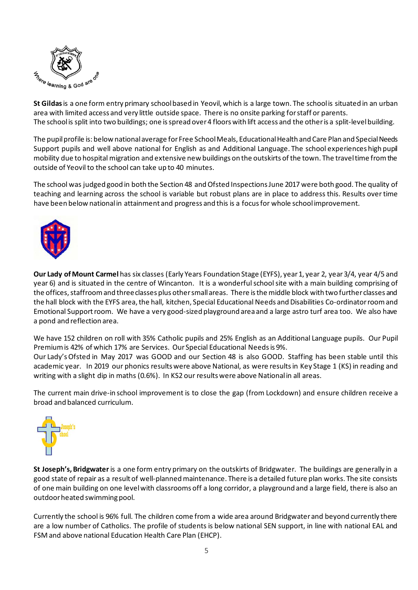

**St Gildas**is a one form entry primary school based in Yeovil, which is a large town. The school is situated in an urban area with limited access and very little outside space. There is no onsite parking for staff or parents. The school is split into two buildings; one is spread over 4 floors with lift access and the other is a split-levelbuilding.

The pupil profile is: below national average for Free School Meals, Educational Health and Care Plan and Special Needs Support pupils and well above national for English as and Additional Language. The school experiences high pupil mobility due to hospital migration and extensive new buildings on the outskirts of the town. The travel time from the outside of Yeovil to the school can take up to 40 minutes.

The school was judged good in both the Section 48 and Ofsted Inspections June 2017 were both good. The quality of teaching and learning across the school is variable but robust plans are in place to address this. Results over time have been below national in attainment and progress and this is a focus for whole school improvement.



**Our Lady of Mount Carmel** has six classes (Early Years Foundation Stage (EYFS), year 1, year 2, year 3/4, year 4/5 and year 6) and is situated in the centre of Wincanton. It is a wonderful school site with a main building comprising of the offices, staffroom and three classes plus other small areas. There is the middle block with two further classes and the hall block with the EYFS area, the hall, kitchen, Special Educational Needs and Disabilities Co-ordinatorroom and Emotional Support room. We have a very good-sized playground area and a large astro turf area too. We also have a pond and reflection area.

We have 152 children on roll with 35% Catholic pupils and 25% English as an Additional Language pupils. Our Pupil Premium is 42% of which 17% are Services. Our Special Educational Needs is 9%.

Our Lady'sOfsted in May 2017 was GOOD and our Section 48 is also GOOD. Staffing has been stable until this academic year. In 2019 our phonics results were above National, as were results in Key Stage 1 (KS) in reading and writing with a slight dip in maths (0.6%). In KS2 our results were above National in all areas.

The current main drive-in school improvement is to close the gap (from Lockdown) and ensure children receive a broad and balanced curriculum.



**St Joseph's, Bridgwater** is a one form entry primary on the outskirts of Bridgwater. The buildings are generally in a good state of repair as a result of well-planned maintenance. There is a detailed future plan works. The site consists of one main building on one level with classrooms off a long corridor, a playground and a large field, there is also an outdoor heated swimming pool.

Currently the school is 96% full. The children come from a wide area around Bridgwater and beyond currently there are a low number of Catholics. The profile of students is below national SEN support, in line with national EAL and FSM and above national Education Health Care Plan (EHCP).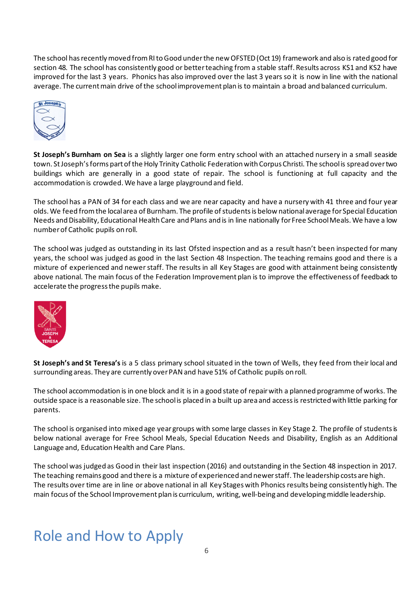The school has recently moved from RI to Good under the new OFSTED (Oct 19) framework and also is rated good for section 48. The school has consistently good or better teaching from a stable staff. Results across KS1 and KS2 have improved for the last 3 years. Phonics has also improved over the last 3 years so it is now in line with the national average. The current main drive of the school improvement plan is to maintain a broad and balanced curriculum.



**St Joseph's Burnham on Sea** is a slightly larger one form entry school with an attached nursery in a small seaside town. St Joseph's forms part of the Holy Trinity Catholic Federation with Corpus Christi. The school is spread over two buildings which are generally in a good state of repair. The school is functioning at full capacity and the accommodation is crowded. We have a large playground and field.

The school has a PAN of 34 for each class and we are near capacity and have a nursery with 41 three and four year olds. We feed from the local area of Burnham. The profile of students is below national average for Special Education Needs and Disability, Educational Health Care and Plans and is in line nationally for Free School Meals. We have a low number of Catholic pupils on roll.

The school was judged as outstanding in its last Ofsted inspection and as a result hasn't been inspected for many years, the school was judged as good in the last Section 48 Inspection. The teaching remains good and there is a mixture of experienced and newer staff. The results in all Key Stages are good with attainment being consistently above national. The main focus of the Federation Improvement plan is to improve the effectiveness of feedback to accelerate the progress the pupils make.



**St Joseph's and St Teresa's** is a 5 class primary school situated in the town of Wells, they feed from their local and surrounding areas. They are currently over PAN and have 51% of Catholic pupils on roll.

The school accommodation is in one block and it is in a good state of repair with a planned programme of works. The outside space is a reasonable size. The school is placed in a built up area and access is restricted with little parking for parents.

The school is organised into mixed age year groups with some large classes in Key Stage 2. The profile of students is below national average for Free School Meals, Special Education Needs and Disability, English as an Additional Language and, Education Health and Care Plans.

The school was judged as Good in their last inspection (2016) and outstanding in the Section 48 inspection in 2017. The teaching remains good and there is a mixture of experienced and newer staff. The leadership costs are high. The results over time are in line or above national in all Key Stages with Phonics results being consistently high. The main focus of the School Improvement plan is curriculum, writing, well-being and developing middle leadership.

# <span id="page-5-0"></span>Role and How to Apply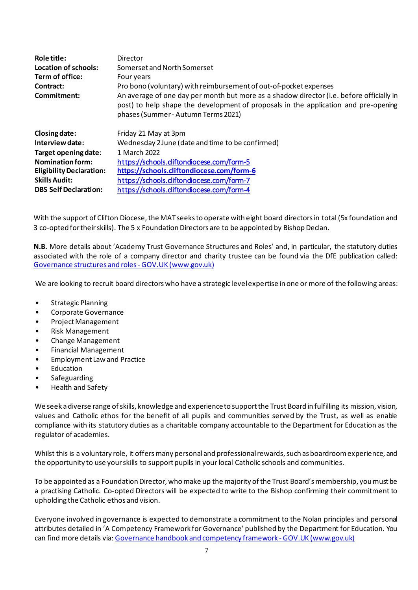| <b>Role title:</b><br>Location of schools:<br>Term of office:<br>Contract:<br>Commitment: | Director<br>Somerset and North Somerset<br>Four years<br>Pro bono (voluntary) with reimbursement of out-of-pocket expenses<br>An average of one day per month but more as a shadow director (i.e. before officially in |
|-------------------------------------------------------------------------------------------|------------------------------------------------------------------------------------------------------------------------------------------------------------------------------------------------------------------------|
|                                                                                           | post) to help shape the development of proposals in the application and pre-opening<br>phases (Summer - Autumn Terms 2021)                                                                                             |
| Closing date:                                                                             | Friday 21 May at 3pm                                                                                                                                                                                                   |
| Interview date:                                                                           | Wednesday 2 June (date and time to be confirmed)                                                                                                                                                                       |
| Target opening date:                                                                      | 1 March 2022                                                                                                                                                                                                           |
| <b>Nomination form:</b>                                                                   | https://schools.cliftondiocese.com/form-5                                                                                                                                                                              |
| <b>Eligibility Declaration:</b>                                                           | https://schools.cliftondiocese.com/form-6                                                                                                                                                                              |
| <b>Skills Audit:</b>                                                                      | https://schools.cliftondiocese.com/form-7                                                                                                                                                                              |
| <b>DBS Self Declaration:</b>                                                              | https://schools.cliftondiocese.com/form-4                                                                                                                                                                              |

With the support of Clifton Diocese, the MATseeksto operate with eight board directors in total (5x foundation and 3 co-opted for their skills). The 5 x Foundation Directors are to be appointed by Bishop Declan.

**N.B.** More details about 'Academy Trust Governance Structures and Roles' and, in particular, the statutory duties associated with the role of a company director and charity trustee can be found via the DfE publication called: [Governance structures and roles -](https://www.gov.uk/government/publications/governance-structures-and-roles) GOV.UK (www.gov.uk)

We are looking to recruit board directors who have a strategic level expertise in one or more of the following areas:

- Strategic Planning
- Corporate Governance
- Project Management
- Risk Management
- Change Management
- Financial Management
- Employment Law and Practice
- **Education**
- Safeguarding
- Health and Safety

We seek a diverse range of skills, knowledge and experience to support the Trust Board in fulfilling its mission, vision, values and Catholic ethos for the benefit of all pupils and communities served by the Trust, as well as enable compliance with its statutory duties as a charitable company accountable to the Department for Education as the regulator of academies.

Whilst this is a voluntary role, it offers many personal and professional rewards, such as boardroom experience, and the opportunity to use your skills to support pupils in your local Catholic schools and communities.

To be appointed as a Foundation Director, who make up the majority of the Trust Board'smembership, you must be a practising Catholic. Co-opted Directors will be expected to write to the Bishop confirming their commitment to upholding the Catholic ethos and vision.

Everyone involved in governance is expected to demonstrate a commitment to the Nolan principles and personal attributes detailed in 'A Competency Framework for Governance' published by the Department for Education. You can find more details via[: Governance handbook and competency framework -](https://www.gov.uk/government/publications/governance-handbook) GOV. UK (www.gov.uk)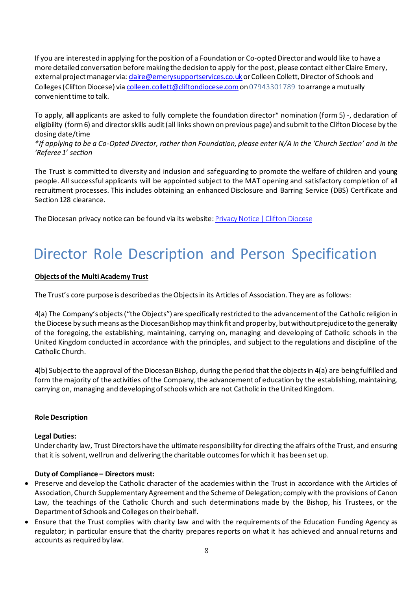If you are interested in applying for the position of a Foundation or Co-opted Directorand would like to have a more detailed conversation before making the decision to apply for the post, please contact either Claire Emery, external project manager via[: claire@emerysupportservices.co.uk](mailto:claire@emerysupportservices.co.uk) or Colleen Collett, Director of Schools and Colleges (Clifton Diocese) vi[a colleen.collett@cliftondiocese.com](mailto:colleen.collett@cliftondiocese.com)on 07943301789 to arrange a mutually convenient time to talk.

To apply, **all** applicants are asked to fully complete the foundation director\* nomination (form 5) -, declaration of eligibility (form 6) and director skills audit (all links shown on previous page) and submit to the Clifton Diocese by the closing date/time

*\*If applying to be a Co-Opted Director, rather than Foundation, please enter N/A in the 'Church Section' and in the 'Referee 1' section* 

The Trust is committed to diversity and inclusion and safeguarding to promote the welfare of children and young people. All successful applicants will be appointed subject to the MAT opening and satisfactory completion of all recruitment processes. This includes obtaining an enhanced Disclosure and Barring Service (DBS) Certificate and Section 128 clearance.

The Diocesan privacy notice can be found via its website: [Privacy Notice | Clifton Diocese](https://cliftondiocese.com/privacy-notice/)

# <span id="page-7-0"></span>Director Role Description and Person Specification

# **Objects of the Multi Academy Trust**

The Trust's core purpose is described as the Objects in its Articles of Association. They are as follows:

4(a) The Company's objects ("the Objects") are specifically restricted to the advancement of the Catholic religion in the Diocese by such means as the Diocesan Bishop may think fit and proper by, but without prejudice to the generality of the foregoing, the establishing, maintaining, carrying on, managing and developing of Catholic schools in the United Kingdom conducted in accordance with the principles, and subject to the regulations and discipline of the Catholic Church.

4(b) Subject to the approval of the Diocesan Bishop, during the period that the objects in 4(a) are being fulfilled and form the majority of the activities of the Company, the advancement of education by the establishing, maintaining, carrying on, managing and developing of schools which are not Catholic in the United Kingdom.

# **Role Description**

# **Legal Duties:**

Under charity law, Trust Directors have the ultimate responsibility for directing the affairs of the Trust, and ensuring that it is solvent, well run and delivering the charitable outcomes for which it has been set up.

# **Duty of Compliance – Directors must:**

- Preserve and develop the Catholic character of the academies within the Trust in accordance with the Articles of Association, Church Supplementary Agreement and the Scheme of Delegation; comply with the provisions of Canon Law, the teachings of the Catholic Church and such determinations made by the Bishop, his Trustees, or the Department of Schools and Colleges on their behalf.
- Ensure that the Trust complies with charity law and with the requirements of the Education Funding Agency as regulator; in particular ensure that the charity prepares reports on what it has achieved and annual returns and accounts as required by law.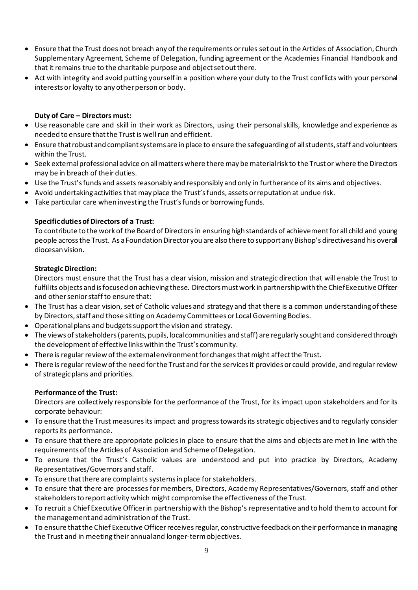- Ensure that the Trust does not breach any of the requirements or rules set out in the Articles of Association, Church Supplementary Agreement, Scheme of Delegation, funding agreement or the Academies Financial Handbook and that it remains true to the charitable purpose and object set out there.
- Act with integrity and avoid putting yourself in a position where your duty to the Trust conflicts with your personal interests or loyalty to any other person or body.

# **Duty of Care – Directors must:**

- Use reasonable care and skill in their work as Directors, using their personal skills, knowledge and experience as needed to ensure that the Trust is well run and efficient.
- Ensure that robust and compliant systems are in place to ensure the safeguarding of all students, staff and volunteers within the Trust.
- Seek external professional advice on all matters where there may be material risk to the Trust or where the Directors may be in breach of their duties.
- Use the Trust's funds and assets reasonably and responsibly and only in furtherance of its aims and objectives.
- Avoid undertaking activities that may place the Trust's funds, assets or reputation at undue risk.
- Take particular care when investing the Trust's funds or borrowing funds.

### **Specific duties of Directors of a Trust:**

To contribute to the work of the Board of Directors in ensuring high standards of achievement for all child and young people across the Trust. As a Foundation Director you are also there to support any Bishop's directives and his overall diocesan vision.

#### **Strategic Direction:**

Directors must ensure that the Trust has a clear vision, mission and strategic direction that will enable the Trust to fulfil its objects and is focused on achieving these. Directors must work in partnership with the Chief Executive Officer and other senior staff to ensure that:

- The Trust has a clear vision, set of Catholic values and strategy and that there is a common understanding of these by Directors, staff and those sitting on Academy Committees or Local Governing Bodies.
- Operational plans and budgets support the vision and strategy.
- The views of stakeholders (parents, pupils, local communities and staff) are regularly sought and considered through the development of effective links within the Trust's community.
- There is regular review of the external environment for changes that might affect the Trust.
- There is regular review of the need for the Trust and for the services it provides or could provide, and regular review of strategic plans and priorities.

#### **Performance of the Trust:**

Directors are collectively responsible for the performance of the Trust, for its impact upon stakeholders and for its corporate behaviour:

- To ensure that the Trust measures its impact and progress towards its strategic objectives and to regularly consider reports its performance.
- To ensure that there are appropriate policies in place to ensure that the aims and objects are met in line with the requirements of the Articles of Association and Scheme of Delegation.
- To ensure that the Trust's Catholic values are understood and put into practice by Directors, Academy Representatives/Governors and staff.
- To ensure that there are complaints systems in place for stakeholders.
- To ensure that there are processes for members, Directors, Academy Representatives/Governors, staff and other stakeholders to report activity which might compromise the effectiveness of the Trust.
- To recruit a Chief Executive Officer in partnership with the Bishop's representative and to hold them to account for the management and administration of the Trust.
- To ensure that the Chief Executive Officer receives regular, constructive feedback on their performance in managing the Trust and in meeting their annual and longer-term objectives.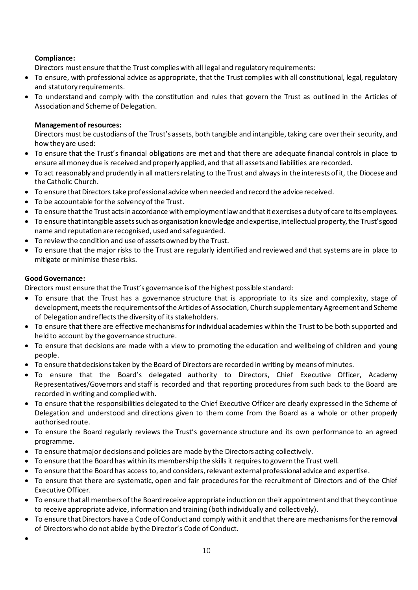# **Compliance:**

Directors must ensure that the Trust complies with all legal and regulatory requirements:

- To ensure, with professional advice as appropriate, that the Trust complies with all constitutional, legal, regulatory and statutory requirements.
- To understand and comply with the constitution and rules that govern the Trust as outlined in the Articles of Association and Scheme of Delegation.

# **Management of resources:**

Directors must be custodians of the Trust's assets, both tangible and intangible, taking care over their security, and how they are used:

- To ensure that the Trust's financial obligations are met and that there are adequate financial controls in place to ensure all money due is received and properly applied, and that all assets and liabilities are recorded.
- To act reasonably and prudently in all matters relating to the Trust and always in the interests of it, the Diocese and the Catholic Church.
- To ensure that Directors take professional advice when needed and record the advice received.
- To be accountable for the solvency of the Trust.
- To ensure that the Trust acts in accordance with employment law and that it exercises a duty of care to its employees.
- To ensure that intangible assets such as organisation knowledge and expertise, intellectual property, the Trust's good name and reputation are recognised, used and safeguarded.
- To review the condition and use of assets owned by the Trust.
- To ensure that the major risks to the Trust are regularly identified and reviewed and that systems are in place to mitigate or minimise these risks.

# **Good Governance:**

Directors must ensure that the Trust's governance is of the highest possible standard:

- To ensure that the Trust has a governance structure that is appropriate to its size and complexity, stage of development, meets the requirements of the Articles of Association, Church supplementary Agreement and Scheme of Delegation and reflects the diversity of its stakeholders.
- To ensure that there are effective mechanisms for individual academies within the Trust to be both supported and held to account by the governance structure.
- To ensure that decisions are made with a view to promoting the education and wellbeing of children and young people.
- To ensure that decisions taken by the Board of Directors are recorded in writing by means of minutes.
- To ensure that the Board's delegated authority to Directors, Chief Executive Officer, Academy Representatives/Governors and staff is recorded and that reporting procedures from such back to the Board are recorded in writing and complied with.
- To ensure that the responsibilities delegated to the Chief Executive Officer are clearly expressed in the Scheme of Delegation and understood and directions given to them come from the Board as a whole or other properly authorised route.
- To ensure the Board regularly reviews the Trust's governance structure and its own performance to an agreed programme.
- To ensure that major decisions and policies are made by the Directors acting collectively.
- To ensure that the Board has within its membership the skills it requires to govern the Trust well.
- To ensure that the Board has access to, and considers, relevant external professional advice and expertise.
- To ensure that there are systematic, open and fair procedures for the recruitment of Directors and of the Chief Executive Officer.
- To ensure that all members of the Board receive appropriate induction on their appointment and that they continue to receive appropriate advice, information and training (both individually and collectively).
- To ensure that Directors have a Code of Conduct and comply with it and that there are mechanisms for the removal of Directors who do not abide by the Director's Code of Conduct.
- •